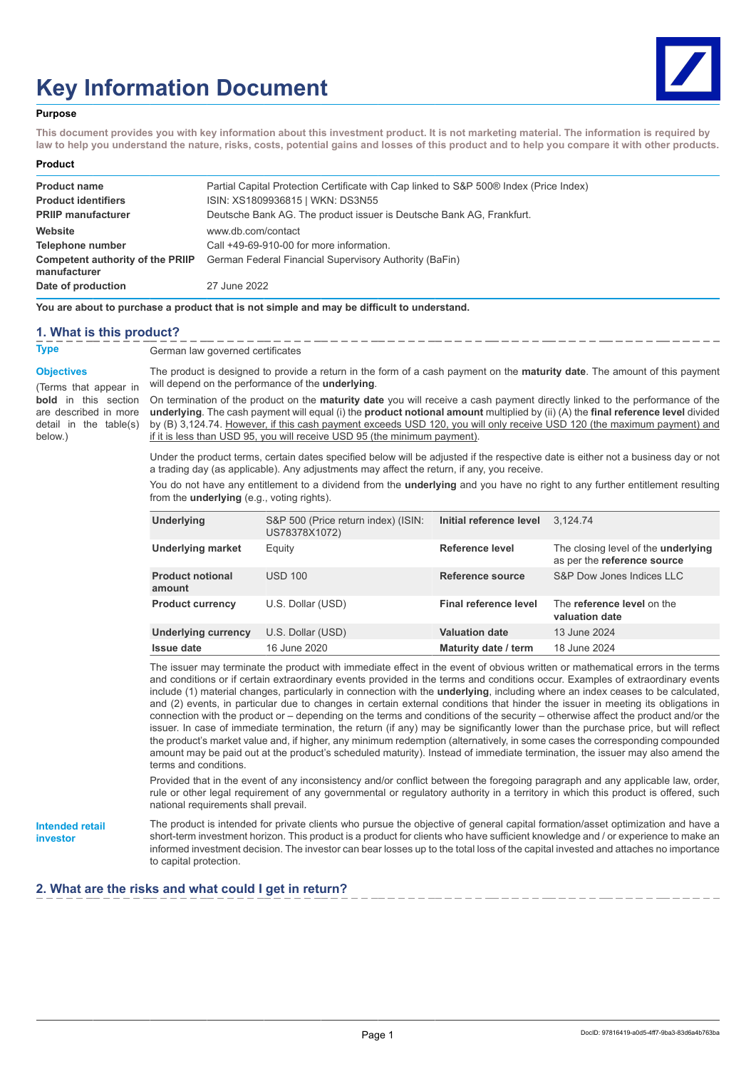# **Key Information Document**



#### **Purpose**

**This document provides you with key information about this investment product. It is not marketing material. The information is required by law to help you understand the nature, risks, costs, potential gains and losses of this product and to help you compare it with other products.**

#### **Product Product name** Partial Capital Protection Certificate with Cap linked to S&P 500® Index (Price Index) **Product identifiers** ISIN: XS1809936815 | WKN: DS3N55 **PRIIP manufacturer** Deutsche Bank AG. The product issuer is Deutsche Bank AG, Frankfurt. **Website** www.db.com/contact **Telephone number** Call +49-69-910-00 for more information. **Competent authority of the PRIIP manufacturer** German Federal Financial Supervisory Authority (BaFin) **Date of production** 27 June 2022

**You are about to purchase a product that is not simple and may be difficult to understand.**

#### **1. What is this product?**

**Type** German law governed certificates

**Objectives**

(Terms that appear in **bold** in this section are described in more detail in the table(s) below.)

The product is designed to provide a return in the form of a cash payment on the **maturity date**. The amount of this payment will depend on the performance of the **underlying**.

On termination of the product on the **maturity date** you will receive a cash payment directly linked to the performance of the **underlying**. The cash payment will equal (i) the **product notional amount** multiplied by (ii) (A) the **final reference level** divided by (B) 3,124.74. However, if this cash payment exceeds USD 120, you will only receive USD 120 (the maximum payment) and if it is less than USD 95, you will receive USD 95 (the minimum payment).

Under the product terms, certain dates specified below will be adjusted if the respective date is either not a business day or not a trading day (as applicable). Any adjustments may affect the return, if any, you receive.

You do not have any entitlement to a dividend from the **underlying** and you have no right to any further entitlement resulting from the **underlying** (e.g., voting rights).

| Underlying                        | S&P 500 (Price return index) (ISIN:<br>US78378X1072) | Initial reference level | 3.124.74                                                                  |
|-----------------------------------|------------------------------------------------------|-------------------------|---------------------------------------------------------------------------|
| <b>Underlying market</b>          | Equity                                               | Reference level         | The closing level of the <b>underlying</b><br>as per the reference source |
| <b>Product notional</b><br>amount | <b>USD 100</b>                                       | Reference source        | S&P Dow Jones Indices LLC                                                 |
| <b>Product currency</b>           | U.S. Dollar (USD)                                    | Final reference level   | The reference level on the<br>valuation date                              |
| <b>Underlying currency</b>        | U.S. Dollar (USD)                                    | <b>Valuation date</b>   | 13 June 2024                                                              |
| Issue date                        | 16 June 2020                                         | Maturity date / term    | 18 June 2024                                                              |

The issuer may terminate the product with immediate effect in the event of obvious written or mathematical errors in the terms and conditions or if certain extraordinary events provided in the terms and conditions occur. Examples of extraordinary events include (1) material changes, particularly in connection with the **underlying**, including where an index ceases to be calculated, and (2) events, in particular due to changes in certain external conditions that hinder the issuer in meeting its obligations in connection with the product or – depending on the terms and conditions of the security – otherwise affect the product and/or the issuer. In case of immediate termination, the return (if any) may be significantly lower than the purchase price, but will reflect the product's market value and, if higher, any minimum redemption (alternatively, in some cases the corresponding compounded amount may be paid out at the product's scheduled maturity). Instead of immediate termination, the issuer may also amend the terms and conditions.

Provided that in the event of any inconsistency and/or conflict between the foregoing paragraph and any applicable law, order, rule or other legal requirement of any governmental or regulatory authority in a territory in which this product is offered, such national requirements shall prevail.

**Intended retail investor**

The product is intended for private clients who pursue the objective of general capital formation/asset optimization and have a short-term investment horizon. This product is a product for clients who have sufficient knowledge and / or experience to make an informed investment decision. The investor can bear losses up to the total loss of the capital invested and attaches no importance to capital protection.

## **2. What are the risks and what could I get in return?**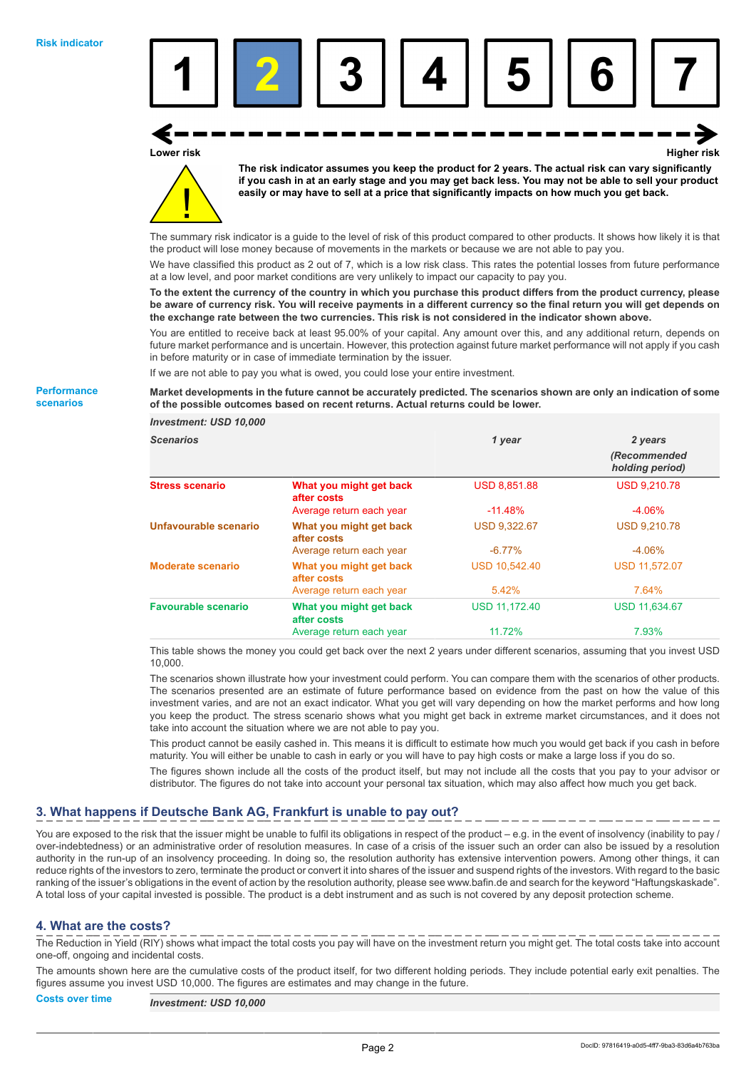**Performance scenarios**



**Lower risk Higher risk**



**The risk indicator assumes you keep the product for 2 years. The actual risk can vary significantly if you cash in at an early stage and you may get back less. You may not be able to sell your product easily or may have to sell at a price that significantly impacts on how much you get back.**

The summary risk indicator is a guide to the level of risk of this product compared to other products. It shows how likely it is that the product will lose money because of movements in the markets or because we are not able to pay you.

We have classified this product as 2 out of 7, which is a low risk class. This rates the potential losses from future performance at a low level, and poor market conditions are very unlikely to impact our capacity to pay you.

**To the extent the currency of the country in which you purchase this product differs from the product currency, please be aware of currency risk. You will receive payments in a different currency so the final return you will get depends on the exchange rate between the two currencies. This risk is not considered in the indicator shown above.**

You are entitled to receive back at least 95.00% of your capital. Any amount over this, and any additional return, depends on future market performance and is uncertain. However, this protection against future market performance will not apply if you cash in before maturity or in case of immediate termination by the issuer.

If we are not able to pay you what is owed, you could lose your entire investment.

**Market developments in the future cannot be accurately predicted. The scenarios shown are only an indication of some of the possible outcomes based on recent returns. Actual returns could be lower.**

| <b>Investment: USD 10,000</b> |                                        |                      |                                 |
|-------------------------------|----------------------------------------|----------------------|---------------------------------|
| <b>Scenarios</b>              |                                        | 1 year               | 2 years                         |
|                               |                                        |                      | (Recommended<br>holding period) |
| <b>Stress scenario</b>        | What you might get back<br>after costs | <b>USD 8,851.88</b>  | <b>USD 9,210.78</b>             |
|                               | Average return each year               | $-11.48\%$           | $-4.06\%$                       |
| Unfavourable scenario         | What you might get back<br>after costs | <b>USD 9,322.67</b>  | <b>USD 9,210.78</b>             |
|                               | Average return each year               | $-6.77\%$            | $-4.06\%$                       |
| <b>Moderate scenario</b>      | What you might get back<br>after costs | <b>USD 10,542.40</b> | <b>USD 11,572.07</b>            |
|                               | Average return each year               | 5.42%                | 7.64%                           |
| <b>Favourable scenario</b>    | What you might get back<br>after costs | <b>USD 11.172.40</b> | <b>USD 11.634.67</b>            |
|                               | Average return each year               | 11.72%               | 7.93%                           |

This table shows the money you could get back over the next 2 years under different scenarios, assuming that you invest USD 10,000.

The scenarios shown illustrate how your investment could perform. You can compare them with the scenarios of other products. The scenarios presented are an estimate of future performance based on evidence from the past on how the value of this investment varies, and are not an exact indicator. What you get will vary depending on how the market performs and how long you keep the product. The stress scenario shows what you might get back in extreme market circumstances, and it does not take into account the situation where we are not able to pay you.

This product cannot be easily cashed in. This means it is difficult to estimate how much you would get back if you cash in before maturity. You will either be unable to cash in early or you will have to pay high costs or make a large loss if you do so.

The figures shown include all the costs of the product itself, but may not include all the costs that you pay to your advisor or distributor. The figures do not take into account your personal tax situation, which may also affect how much you get back.

## **3. What happens if Deutsche Bank AG, Frankfurt is unable to pay out?**

You are exposed to the risk that the issuer might be unable to fulfil its obligations in respect of the product – e.g. in the event of insolvency (inability to pay / over-indebtedness) or an administrative order of resolution measures. In case of a crisis of the issuer such an order can also be issued by a resolution authority in the run-up of an insolvency proceeding. In doing so, the resolution authority has extensive intervention powers. Among other things, it can reduce rights of the investors to zero, terminate the product or convert it into shares of the issuer and suspend rights of the investors. With regard to the basic ranking of the issuer's obligations in the event of action by the resolution authority, please see www.bafin.de and search for the keyword "Haftungskaskade". A total loss of your capital invested is possible. The product is a debt instrument and as such is not covered by any deposit protection scheme.

## **4. What are the costs?**

The Reduction in Yield (RIY) shows what impact the total costs you pay will have on the investment return you might get. The total costs take into account one-off, ongoing and incidental costs.

The amounts shown here are the cumulative costs of the product itself, for two different holding periods. They include potential early exit penalties. The figures assume you invest USD 10,000. The figures are estimates and may change in the future.

Page 2

## **Costs over time** *Investment: USD 10,000*